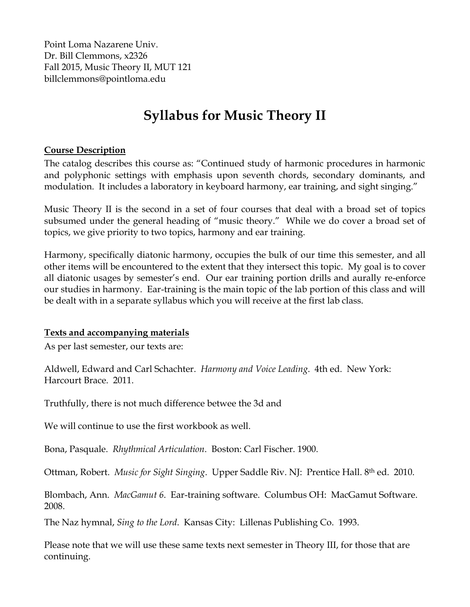Point Loma Nazarene Univ. Dr. Bill Clemmons, x2326 Fall 2015, Music Theory II, MUT 121 billclemmons@pointloma.edu

### **Syllabus for Music Theory II**

#### **Course Description**

The catalog describes this course as: "Continued study of harmonic procedures in harmonic and polyphonic settings with emphasis upon seventh chords, secondary dominants, and modulation. It includes a laboratory in keyboard harmony, ear training, and sight singing."

Music Theory II is the second in a set of four courses that deal with a broad set of topics subsumed under the general heading of "music theory." While we do cover a broad set of topics, we give priority to two topics, harmony and ear training.

Harmony, specifically diatonic harmony, occupies the bulk of our time this semester, and all other items will be encountered to the extent that they intersect this topic. My goal is to cover all diatonic usages by semester's end. Our ear training portion drills and aurally re-enforce our studies in harmony. Ear-training is the main topic of the lab portion of this class and will be dealt with in a separate syllabus which you will receive at the first lab class.

#### **Texts and accompanying materials**

As per last semester, our texts are:

Aldwell, Edward and Carl Schachter. *Harmony and Voice Leading*. 4th ed. New York: Harcourt Brace. 2011.

Truthfully, there is not much difference betwee the 3d and

We will continue to use the first workbook as well.

Bona, Pasquale. *Rhythmical Articulation*. Boston: Carl Fischer. 1900.

Ottman, Robert. *Music for Sight Singing*. Upper Saddle Riv. NJ: Prentice Hall. 8th ed. 2010.

Blombach, Ann. *MacGamut 6*. Ear-training software. Columbus OH: MacGamut Software. 2008.

The Naz hymnal, *Sing to the Lord*. Kansas City: Lillenas Publishing Co. 1993.

Please note that we will use these same texts next semester in Theory III, for those that are continuing.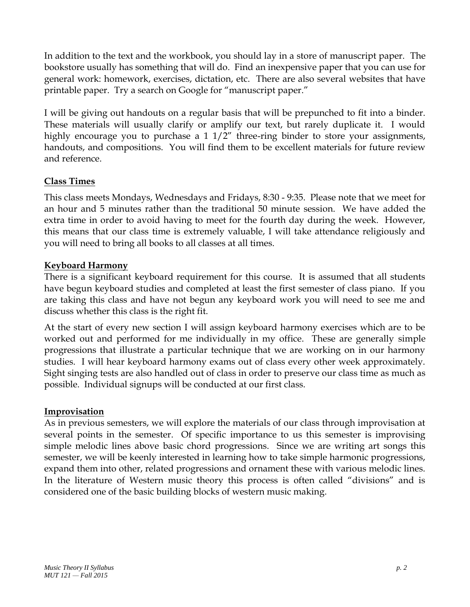In addition to the text and the workbook, you should lay in a store of manuscript paper. The bookstore usually has something that will do. Find an inexpensive paper that you can use for general work: homework, exercises, dictation, etc. There are also several websites that have printable paper. Try a search on Google for "manuscript paper."

I will be giving out handouts on a regular basis that will be prepunched to fit into a binder. These materials will usually clarify or amplify our text, but rarely duplicate it. I would highly encourage you to purchase a 1 1/2" three-ring binder to store your assignments, handouts, and compositions. You will find them to be excellent materials for future review and reference.

#### **Class Times**

This class meets Mondays, Wednesdays and Fridays, 8:30 - 9:35. Please note that we meet for an hour and 5 minutes rather than the traditional 50 minute session. We have added the extra time in order to avoid having to meet for the fourth day during the week. However, this means that our class time is extremely valuable, I will take attendance religiously and you will need to bring all books to all classes at all times.

#### **Keyboard Harmony**

There is a significant keyboard requirement for this course. It is assumed that all students have begun keyboard studies and completed at least the first semester of class piano. If you are taking this class and have not begun any keyboard work you will need to see me and discuss whether this class is the right fit.

At the start of every new section I will assign keyboard harmony exercises which are to be worked out and performed for me individually in my office. These are generally simple progressions that illustrate a particular technique that we are working on in our harmony studies. I will hear keyboard harmony exams out of class every other week approximately. Sight singing tests are also handled out of class in order to preserve our class time as much as possible. Individual signups will be conducted at our first class.

#### **Improvisation**

As in previous semesters, we will explore the materials of our class through improvisation at several points in the semester. Of specific importance to us this semester is improvising simple melodic lines above basic chord progressions. Since we are writing art songs this semester, we will be keenly interested in learning how to take simple harmonic progressions, expand them into other, related progressions and ornament these with various melodic lines. In the literature of Western music theory this process is often called "divisions" and is considered one of the basic building blocks of western music making.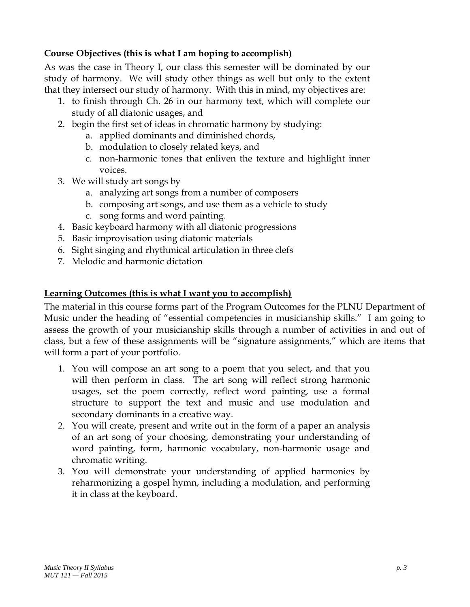#### **Course Objectives (this is what I am hoping to accomplish)**

As was the case in Theory I, our class this semester will be dominated by our study of harmony. We will study other things as well but only to the extent that they intersect our study of harmony. With this in mind, my objectives are:

- 1. to finish through Ch. 26 in our harmony text, which will complete our study of all diatonic usages, and
- 2. begin the first set of ideas in chromatic harmony by studying:
	- a. applied dominants and diminished chords,
		- b. modulation to closely related keys, and
		- c. non-harmonic tones that enliven the texture and highlight inner voices.
- 3. We will study art songs by
	- a. analyzing art songs from a number of composers
	- b. composing art songs, and use them as a vehicle to study
	- c. song forms and word painting.
- 4. Basic keyboard harmony with all diatonic progressions
- 5. Basic improvisation using diatonic materials
- 6. Sight singing and rhythmical articulation in three clefs
- 7. Melodic and harmonic dictation

#### **Learning Outcomes (this is what I want you to accomplish)**

The material in this course forms part of the Program Outcomes for the PLNU Department of Music under the heading of "essential competencies in musicianship skills." I am going to assess the growth of your musicianship skills through a number of activities in and out of class, but a few of these assignments will be "signature assignments," which are items that will form a part of your portfolio.

- 1. You will compose an art song to a poem that you select, and that you will then perform in class. The art song will reflect strong harmonic usages, set the poem correctly, reflect word painting, use a formal structure to support the text and music and use modulation and secondary dominants in a creative way.
- 2. You will create, present and write out in the form of a paper an analysis of an art song of your choosing, demonstrating your understanding of word painting, form, harmonic vocabulary, non-harmonic usage and chromatic writing.
- 3. You will demonstrate your understanding of applied harmonies by reharmonizing a gospel hymn, including a modulation, and performing it in class at the keyboard.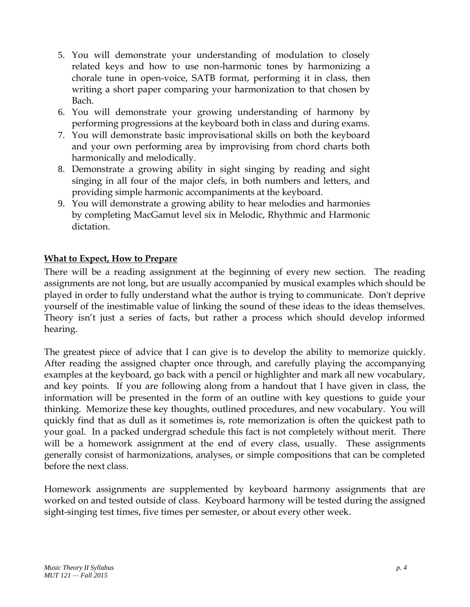- 5. You will demonstrate your understanding of modulation to closely related keys and how to use non-harmonic tones by harmonizing a chorale tune in open-voice, SATB format, performing it in class, then writing a short paper comparing your harmonization to that chosen by Bach.
- 6. You will demonstrate your growing understanding of harmony by performing progressions at the keyboard both in class and during exams.
- 7. You will demonstrate basic improvisational skills on both the keyboard and your own performing area by improvising from chord charts both harmonically and melodically.
- 8. Demonstrate a growing ability in sight singing by reading and sight singing in all four of the major clefs, in both numbers and letters, and providing simple harmonic accompaniments at the keyboard.
- 9. You will demonstrate a growing ability to hear melodies and harmonies by completing MacGamut level six in Melodic, Rhythmic and Harmonic dictation.

#### **What to Expect, How to Prepare**

There will be a reading assignment at the beginning of every new section. The reading assignments are not long, but are usually accompanied by musical examples which should be played in order to fully understand what the author is trying to communicate. Don't deprive yourself of the inestimable value of linking the sound of these ideas to the ideas themselves. Theory isn't just a series of facts, but rather a process which should develop informed hearing.

The greatest piece of advice that I can give is to develop the ability to memorize quickly. After reading the assigned chapter once through, and carefully playing the accompanying examples at the keyboard, go back with a pencil or highlighter and mark all new vocabulary, and key points. If you are following along from a handout that I have given in class, the information will be presented in the form of an outline with key questions to guide your thinking. Memorize these key thoughts, outlined procedures, and new vocabulary. You will quickly find that as dull as it sometimes is, rote memorization is often the quickest path to your goal. In a packed undergrad schedule this fact is not completely without merit. There will be a homework assignment at the end of every class, usually. These assignments generally consist of harmonizations, analyses, or simple compositions that can be completed before the next class.

Homework assignments are supplemented by keyboard harmony assignments that are worked on and tested outside of class. Keyboard harmony will be tested during the assigned sight-singing test times, five times per semester, or about every other week.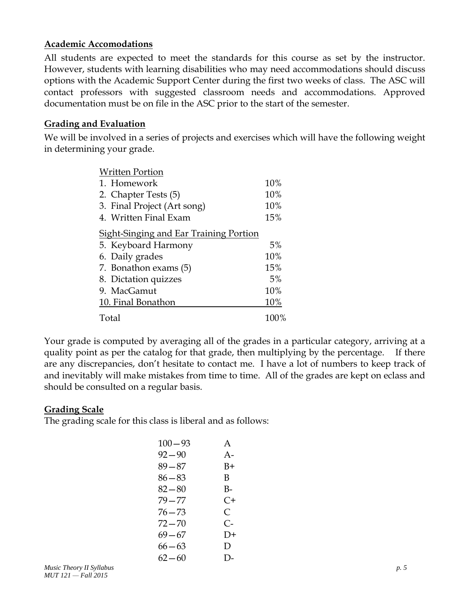#### **Academic Accomodations**

All students are expected to meet the standards for this course as set by the instructor. However, students with learning disabilities who may need accommodations should discuss options with the Academic Support Center during the first two weeks of class. The ASC will contact professors with suggested classroom needs and accommodations. Approved documentation must be on file in the ASC prior to the start of the semester.

#### **Grading and Evaluation**

We will be involved in a series of projects and exercises which will have the following weight in determining your grade.

| <b>Written Portion</b>                        |      |  |  |  |
|-----------------------------------------------|------|--|--|--|
| 1. Homework                                   |      |  |  |  |
| 2. Chapter Tests (5)                          | 10%  |  |  |  |
| 3. Final Project (Art song)                   | 10%  |  |  |  |
| 4. Written Final Exam                         |      |  |  |  |
| <b>Sight-Singing and Ear Training Portion</b> |      |  |  |  |
| 5. Keyboard Harmony                           | 5%   |  |  |  |
| 6. Daily grades                               | 10%  |  |  |  |
| 7. Bonathon exams (5)                         | 15%  |  |  |  |
| 8. Dictation quizzes                          | 5%   |  |  |  |
| 9. MacGamut                                   | 10%  |  |  |  |
| 10. Final Bonathon                            | 10%  |  |  |  |
| Total                                         | 100% |  |  |  |

Your grade is computed by averaging all of the grades in a particular category, arriving at a quality point as per the catalog for that grade, then multiplying by the percentage. If there are any discrepancies, don't hesitate to contact me. I have a lot of numbers to keep track of and inevitably will make mistakes from time to time. All of the grades are kept on eclass and should be consulted on a regular basis.

#### **Grading Scale**

The grading scale for this class is liberal and as follows:

| $100 - 93$ | A          |
|------------|------------|
| $92 - 90$  | $A -$      |
| $89 - 87$  | B+         |
| $86 - 83$  | B          |
| 82—80      | В-         |
| 79 — 77    | $C+$       |
| 76—73      | C          |
| 72—70      | $C_{\tau}$ |
| 69—67      | D+         |
| $66 - 63$  | D          |
| $62 - 60$  | D-         |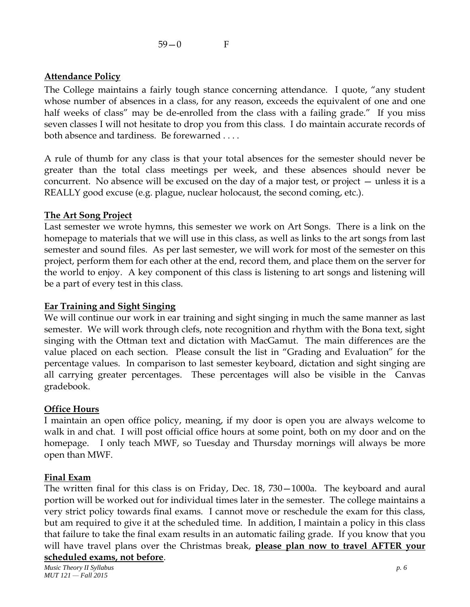59—0 F

#### **Attendance Policy**

The College maintains a fairly tough stance concerning attendance. I quote, "any student whose number of absences in a class, for any reason, exceeds the equivalent of one and one half weeks of class" may be de-enrolled from the class with a failing grade." If you miss seven classes I will not hesitate to drop you from this class. I do maintain accurate records of both absence and tardiness. Be forewarned . . . .

A rule of thumb for any class is that your total absences for the semester should never be greater than the total class meetings per week, and these absences should never be concurrent. No absence will be excused on the day of a major test, or project — unless it is a REALLY good excuse (e.g. plague, nuclear holocaust, the second coming, etc.).

#### **The Art Song Project**

Last semester we wrote hymns, this semester we work on Art Songs. There is a link on the homepage to materials that we will use in this class, as well as links to the art songs from last semester and sound files. As per last semester, we will work for most of the semester on this project, perform them for each other at the end, record them, and place them on the server for the world to enjoy. A key component of this class is listening to art songs and listening will be a part of every test in this class.

#### **Ear Training and Sight Singing**

We will continue our work in ear training and sight singing in much the same manner as last semester. We will work through clefs, note recognition and rhythm with the Bona text, sight singing with the Ottman text and dictation with MacGamut. The main differences are the value placed on each section. Please consult the list in "Grading and Evaluation" for the percentage values. In comparison to last semester keyboard, dictation and sight singing are all carrying greater percentages. These percentages will also be visible in the Canvas gradebook.

#### **Office Hours**

I maintain an open office policy, meaning, if my door is open you are always welcome to walk in and chat. I will post official office hours at some point, both on my door and on the homepage. I only teach MWF, so Tuesday and Thursday mornings will always be more open than MWF.

#### **Final Exam**

The written final for this class is on Friday, Dec. 18, 730—1000a. The keyboard and aural portion will be worked out for individual times later in the semester. The college maintains a very strict policy towards final exams. I cannot move or reschedule the exam for this class, but am required to give it at the scheduled time. In addition, I maintain a policy in this class that failure to take the final exam results in an automatic failing grade. If you know that you will have travel plans over the Christmas break, **please plan now to travel AFTER your scheduled exams, not before**.

*Music Theory II Syllabus p. 6 MUT 121 — Fall 2015*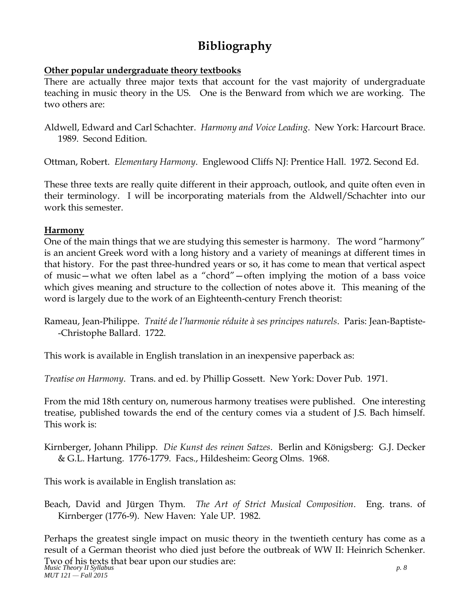### **Bibliography**

#### **Other popular undergraduate theory textbooks**

There are actually three major texts that account for the vast majority of undergraduate teaching in music theory in the US. One is the Benward from which we are working. The two others are:

Aldwell, Edward and Carl Schachter. *Harmony and Voice Leading*. New York: Harcourt Brace. 1989. Second Edition.

Ottman, Robert. *Elementary Harmony*. Englewood Cliffs NJ: Prentice Hall. 1972. Second Ed.

These three texts are really quite different in their approach, outlook, and quite often even in their terminology. I will be incorporating materials from the Aldwell/Schachter into our work this semester.

#### **Harmony**

One of the main things that we are studying this semester is harmony. The word "harmony" is an ancient Greek word with a long history and a variety of meanings at different times in that history. For the past three-hundred years or so, it has come to mean that vertical aspect of music—what we often label as a "chord"—often implying the motion of a bass voice which gives meaning and structure to the collection of notes above it. This meaning of the word is largely due to the work of an Eighteenth-century French theorist:

This work is available in English translation in an inexpensive paperback as:

*Treatise on Harmony*. Trans. and ed. by Phillip Gossett. New York: Dover Pub. 1971.

From the mid 18th century on, numerous harmony treatises were published. One interesting treatise, published towards the end of the century comes via a student of J.S. Bach himself. This work is:

Kirnberger, Johann Philipp. *Die Kunst des reinen Satzes*. Berlin and Königsberg: G.J. Decker & G.L. Hartung. 1776-1779. Facs., Hildesheim: Georg Olms. 1968.

This work is available in English translation as:

Beach, David and Jürgen Thym. *The Art of Strict Musical Composition*. Eng. trans. of Kirnberger (1776-9). New Haven: Yale UP. 1982.

*Music Theory II Syllabus p. 8* Two of his texts that bear upon our studies are:*MUT 121 — Fall 2015* Perhaps the greatest single impact on music theory in the twentieth century has come as a result of a German theorist who died just before the outbreak of WW II: Heinrich Schenker.

Rameau, Jean-Philippe. *Traité de l'harmonie réduite à ses principes naturels*. Paris: Jean-Baptiste- -Christophe Ballard. 1722.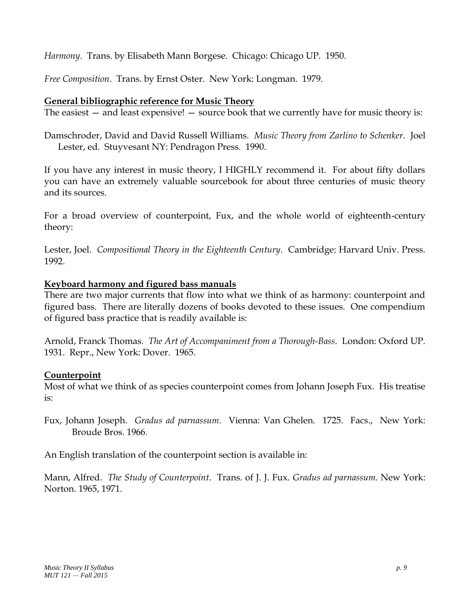*Harmony*. Trans. by Elisabeth Mann Borgese. Chicago: Chicago UP. 1950.

*Free Composition*. Trans. by Ernst Oster. New York: Longman. 1979.

#### **General bibliographic reference for Music Theory**

The easiest  $-$  and least expensive!  $-$  source book that we currently have for music theory is:

Damschroder, David and David Russell Williams. *Music Theory from Zarlino to Schenker*. Joel Lester, ed. Stuyvesant NY: Pendragon Press. 1990.

If you have any interest in music theory, I HIGHLY recommend it. For about fifty dollars you can have an extremely valuable sourcebook for about three centuries of music theory and its sources.

For a broad overview of counterpoint, Fux, and the whole world of eighteenth-century theory:

Lester, Joel. *Compositional Theory in the Eighteenth Century*. Cambridge: Harvard Univ. Press. 1992.

#### **Keyboard harmony and figured bass manuals**

There are two major currents that flow into what we think of as harmony: counterpoint and figured bass. There are literally dozens of books devoted to these issues. One compendium of figured bass practice that is readily available is:

Arnold, Franck Thomas. *The Art of Accompaniment from a Thorough-Bass*. London: Oxford UP. 1931. Repr., New York: Dover. 1965.

#### **Counterpoint**

Most of what we think of as species counterpoint comes from Johann Joseph Fux. His treatise is:

Fux, Johann Joseph. *Gradus ad parnassum*. Vienna: Van Ghelen. 1725. Facs., New York: Broude Bros. 1966.

An English translation of the counterpoint section is available in:

Mann, Alfred. *The Study of Counterpoint*. Trans. of J. J. Fux. *Gradus ad parnassum*. New York: Norton. 1965, 1971.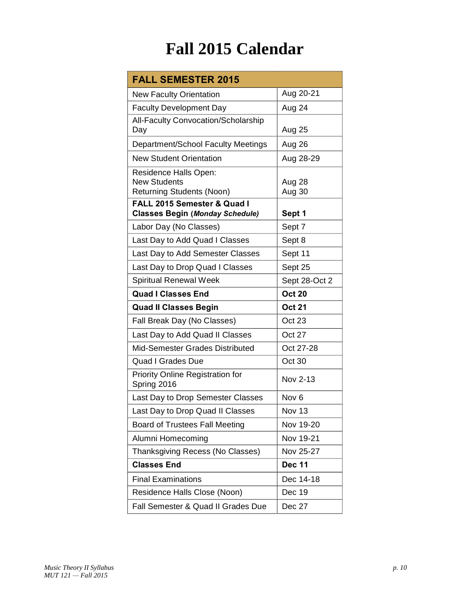# **Fall 2015** Calendar

| <b>FALL SEMESTER 2015</b>                                                        |                  |
|----------------------------------------------------------------------------------|------------------|
| <b>New Faculty Orientation</b>                                                   | Aug 20-21        |
| <b>Faculty Development Day</b>                                                   | Aug 24           |
| All-Faculty Convocation/Scholarship<br>Day                                       | Aug 25           |
| Department/School Faculty Meetings                                               | Aug 26           |
| <b>New Student Orientation</b>                                                   | Aug 28-29        |
| Residence Halls Open:<br><b>New Students</b><br><b>Returning Students (Noon)</b> | Aug 28<br>Aug 30 |
| FALL 2015 Semester & Quad I<br><b>Classes Begin (Monday Schedule)</b>            | Sept 1           |
| Labor Day (No Classes)                                                           | Sept 7           |
| Last Day to Add Quad I Classes                                                   | Sept 8           |
| Last Day to Add Semester Classes                                                 | Sept 11          |
| Last Day to Drop Quad I Classes                                                  | Sept 25          |
| <b>Spiritual Renewal Week</b>                                                    | Sept 28-Oct 2    |
| <b>Quad I Classes End</b>                                                        | <b>Oct 20</b>    |
| <b>Quad II Classes Begin</b>                                                     | <b>Oct 21</b>    |
| Fall Break Day (No Classes)                                                      | Oct 23           |
| Last Day to Add Quad II Classes                                                  | Oct 27           |
| Mid-Semester Grades Distributed                                                  | Oct 27-28        |
| <b>Quad I Grades Due</b>                                                         | Oct 30           |
| Priority Online Registration for<br>Spring 2016                                  | Nov 2-13         |
| Last Day to Drop Semester Classes                                                | Nov <sub>6</sub> |
| Last Day to Drop Quad II Classes                                                 | Nov 13           |
| Board of Trustees Fall Meeting                                                   | Nov 19-20        |
| Alumni Homecoming                                                                | Nov 19-21        |
| Thanksgiving Recess (No Classes)                                                 | Nov 25-27        |
| <b>Classes End</b>                                                               | <b>Dec 11</b>    |
| <b>Final Examinations</b>                                                        | Dec 14-18        |
| Residence Halls Close (Noon)                                                     | Dec 19           |
| Fall Semester & Quad II Grades Due                                               | Dec 27           |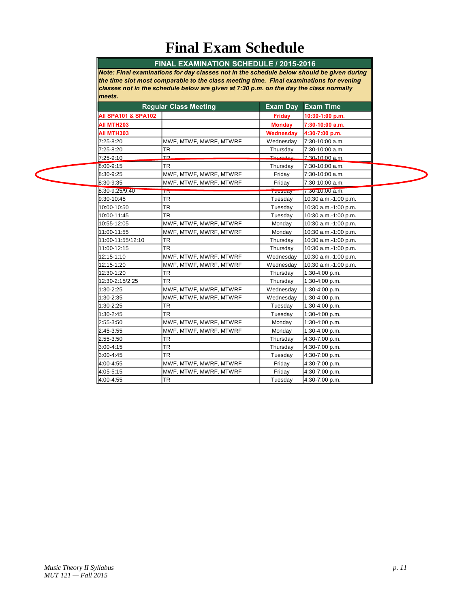## **Final Exam Schedule**

#### **FINAL EXAMINATION SCHEDULE / 2015-2016**

*Note: Final examinations for day classes not in the schedule below should be given during the time slot most comparable to the class meeting time. Final examinations for evening classes not in the schedule below are given at 7:30 p.m. on the day the class normally meets.*

|                                | <b>Regular Class Meeting</b> | <b>Exam Day</b> | <b>Exam Time</b>     |
|--------------------------------|------------------------------|-----------------|----------------------|
| <b>AII SPA101 &amp; SPA102</b> |                              | <b>Friday</b>   | 10:30-1:00 p.m.      |
| AII MTH203                     |                              | <b>Monday</b>   | 7:30-10:00 a.m.      |
| AII MTH303                     |                              | Wednesday       | 4:30-7:00 p.m.       |
| 7:25-8:20                      | MWF, MTWF, MWRF, MTWRF       | Wednesday       | $7:30-10:00$ a.m.    |
| 7:25-8:20                      | TR                           | Thursday        | 7:30-10:00 a.m.      |
| 7:25-9:10                      | TR.                          | Thursday        | $7.30 - 10.00$ a.m.  |
| 8:00-9:15                      | TR                           | Thursday        | 7:30-10:00 a.m.      |
| 8:30-9:25                      | MWF, MTWF, MWRF, MTWRF       | Friday          | 7:30-10:00 a.m.      |
| 8:30-9:35                      | MWF, MTWF, MWRF, MTWRF       | Friday          | 7:30-10:00 a.m.      |
| 8:30-9:25/9:40                 | $\overline{\mathbf{R}}$      | <b>ruesuay</b>  | $7:30-10:00$ a.m.    |
| 9:30-10:45                     | TR                           | Tuesday         | 10:30 a.m.-1:00 p.m. |
| 10:00-10:50                    | TR                           | Tuesday         | 10:30 a.m.-1:00 p.m. |
| 10:00-11:45                    | TR                           | Tuesday         | 10:30 a.m.-1:00 p.m. |
| 10:55-12:05                    | MWF, MTWF, MWRF, MTWRF       | Monday          | 10:30 a.m.-1:00 p.m. |
| 11:00-11:55                    | MWF, MTWF, MWRF, MTWRF       | Monday          | 10:30 a.m.-1:00 p.m. |
| 11:00-11:55/12:10              | <b>TR</b>                    | Thursday        | 10:30 a.m.-1:00 p.m. |
| 11:00-12:15                    | TR                           | Thursday        | 10:30 a.m.-1:00 p.m. |
| 12:15-1:10                     | MWF, MTWF, MWRF, MTWRF       | Wednesday       | 10:30 a.m.-1:00 p.m. |
| 12:15-1:20                     | MWF, MTWF, MWRF, MTWRF       | Wednesday       | 10:30 a.m.-1:00 p.m. |
| 12:30-1:20                     | TR                           | Thursday        | $1:30-4:00 p.m.$     |
| 12:30-2:15/2:25                | TR                           | Thursdav        | 1:30-4:00 p.m.       |
| 1:30-2:25                      | MWF, MTWF, MWRF, MTWRF       | Wednesday       | 1:30-4:00 p.m.       |
| 1:30-2:35                      | MWF, MTWF, MWRF, MTWRF       | Wednesday       | 1:30-4:00 p.m.       |
| 1:30-2:25                      | TR                           | Tuesday         | 1:30-4:00 p.m.       |
| 1:30-2:45                      | TR                           | Tuesday         | 1:30-4:00 p.m.       |
| 2:55-3:50                      | MWF, MTWF, MWRF, MTWRF       | Monday          | 1:30-4:00 p.m.       |
| 2:45-3:55                      | MWF, MTWF, MWRF, MTWRF       | Monday          | 1:30-4:00 p.m.       |
| 2:55-3:50                      | TR                           | Thursday        | 4:30-7:00 p.m.       |
| 3:00-4:15                      | TR                           | Thursday        | 4:30-7:00 p.m.       |
| 3:00-4:45                      | TR                           | Tuesday         | 4:30-7:00 p.m.       |
| 4:00-4:55                      | MWF, MTWF, MWRF, MTWRF       | Friday          | 4:30-7:00 p.m.       |
| 4:05-5:15                      | MWF, MTWF, MWRF, MTWRF       | Friday          | 4:30-7:00 p.m.       |
| 4:00-4:55                      | TR                           | Tuesday         | 4:30-7:00 p.m.       |

 $\overline{\phantom{a}}$ 

 $\bm{\mathcal{D}}$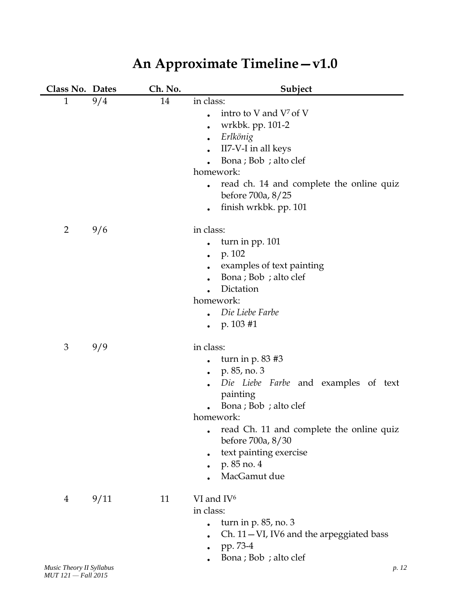| Class No. Dates |      | Ch. No. | Subject                                                                                                                                                                                                                                                                    |
|-----------------|------|---------|----------------------------------------------------------------------------------------------------------------------------------------------------------------------------------------------------------------------------------------------------------------------------|
| $\mathbf{1}$    | 9/4  | 14      | in class:<br>intro to V and $V^7$ of V<br>wrkbk. pp. 101-2<br>Erlkönig<br>$\bullet$<br>II7-V-I in all keys<br>Bona ; Bob ; alto clef<br>homework:<br>read ch. 14 and complete the online quiz<br>before 700a, 8/25<br>finish wrkbk. pp. 101                                |
| $\overline{2}$  | 9/6  |         | in class:<br>turn in pp. 101<br>p. 102<br>$\bullet$<br>examples of text painting<br>Bona ; Bob ; alto clef<br>Dictation<br>homework:<br>Die Liebe Farbe<br>$p. 103 \#1$                                                                                                    |
| $\mathfrak{Z}$  | 9/9  |         | in class:<br>turn in $p. 83 \#3$<br>p. 85, no. 3<br>Die Liebe Farbe and examples of text<br>painting<br>Bona ; Bob ; alto clef<br>homework:<br>read Ch. 11 and complete the online quiz<br>before 700a, 8/30<br>text painting exercise<br>٠<br>p. 85 no. 4<br>MacGamut due |
| $\overline{4}$  | 9/11 | 11      | VI and IV <sup>6</sup><br>in class:<br>turn in $p. 85$ , no. 3<br>$Ch. 11 - VI. IV6$ and the arpeggiated bass<br>pp. 73-4<br>Bona ; Bob ; alto clef                                                                                                                        |

# **An Approximate Timeline—v1.0**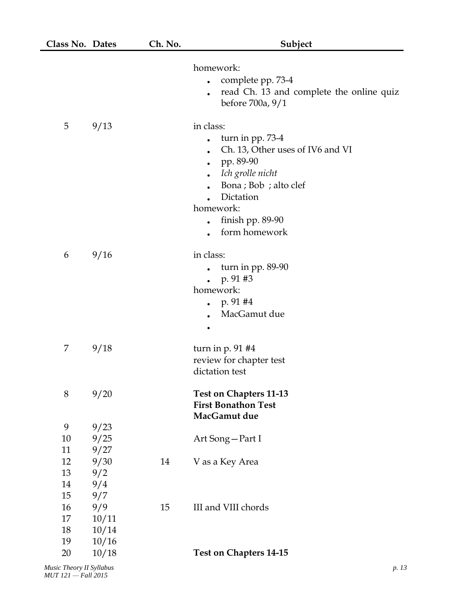| Class No. Dates |       | Ch. No. | Subject                                                                                                                                                                                     |
|-----------------|-------|---------|---------------------------------------------------------------------------------------------------------------------------------------------------------------------------------------------|
|                 |       |         | homework:<br>complete pp. 73-4<br>read Ch. 13 and complete the online quiz<br>before 700a, 9/1                                                                                              |
| 5               | 9/13  |         | in class:<br>turn in pp. 73-4<br>Ch. 13, Other uses of IV6 and VI<br>pp. 89-90<br>Ich grolle nicht<br>Bona ; Bob ; alto clef<br>Dictation<br>homework:<br>finish pp. 89-90<br>form homework |
| 6               | 9/16  |         | in class:<br>turn in pp. 89-90<br>p. 91#3<br>$\bullet$<br>homework:<br>$p.91 \#4$<br>MacGamut due                                                                                           |
| 7               | 9/18  |         | turn in $p. 91$ #4<br>review for chapter test<br>dictation test                                                                                                                             |
| $8\,$           | 9/20  |         | <b>Test on Chapters 11-13</b><br><b>First Bonathon Test</b><br>MacGamut due                                                                                                                 |
| 9               | 9/23  |         |                                                                                                                                                                                             |
| 10              | 9/25  |         | Art Song-Part I                                                                                                                                                                             |
| 11              | 9/27  |         |                                                                                                                                                                                             |
| 12              | 9/30  | 14      | V as a Key Area                                                                                                                                                                             |
| 13              | 9/2   |         |                                                                                                                                                                                             |
| 14              | 9/4   |         |                                                                                                                                                                                             |
| 15              | 9/7   |         |                                                                                                                                                                                             |
| 16              | 9/9   | 15      | III and VIII chords                                                                                                                                                                         |
| 17              | 10/11 |         |                                                                                                                                                                                             |
| 18              | 10/14 |         |                                                                                                                                                                                             |
| 19<br>20        | 10/16 |         |                                                                                                                                                                                             |
|                 | 10/18 |         | <b>Test on Chapters 14-15</b>                                                                                                                                                               |